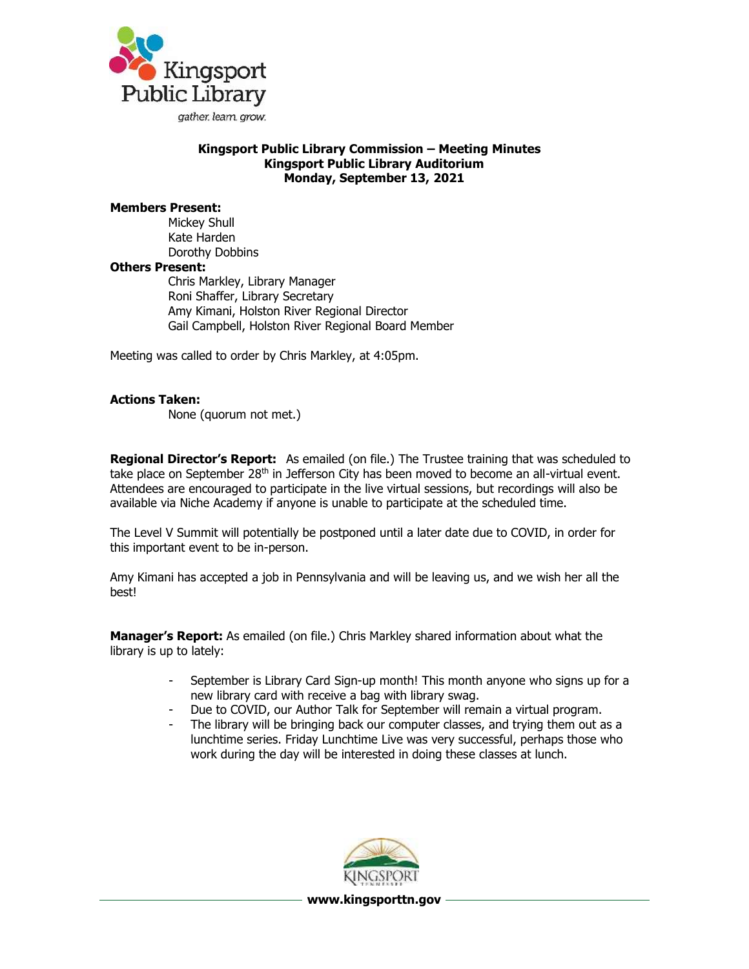

## **Kingsport Public Library Commission – Meeting Minutes Kingsport Public Library Auditorium Monday, September 13, 2021**

## **Members Present:**

Mickey Shull Kate Harden Dorothy Dobbins **Others Present:** Chris Markley, Library Manager Roni Shaffer, Library Secretary Amy Kimani, Holston River Regional Director Gail Campbell, Holston River Regional Board Member

Meeting was called to order by Chris Markley, at 4:05pm.

## **Actions Taken:**

None (quorum not met.)

**Regional Director's Report:** As emailed (on file.) The Trustee training that was scheduled to take place on September 28<sup>th</sup> in Jefferson City has been moved to become an all-virtual event. Attendees are encouraged to participate in the live virtual sessions, but recordings will also be available via Niche Academy if anyone is unable to participate at the scheduled time.

The Level V Summit will potentially be postponed until a later date due to COVID, in order for this important event to be in-person.

Amy Kimani has accepted a job in Pennsylvania and will be leaving us, and we wish her all the best!

**Manager's Report:** As emailed (on file.) Chris Markley shared information about what the library is up to lately:

- September is Library Card Sign-up month! This month anyone who signs up for a new library card with receive a bag with library swag.
- Due to COVID, our Author Talk for September will remain a virtual program.
- The library will be bringing back our computer classes, and trying them out as a lunchtime series. Friday Lunchtime Live was very successful, perhaps those who work during the day will be interested in doing these classes at lunch.